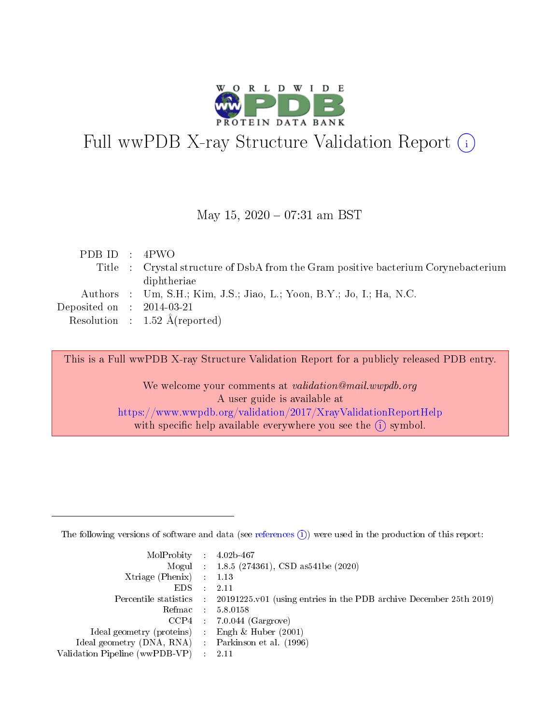

# Full wwPDB X-ray Structure Validation Report (i)

#### May 15,  $2020 - 07:31$  am BST

| PDBID : 4PWO                |                                                                                    |
|-----------------------------|------------------------------------------------------------------------------------|
|                             | Title : Crystal structure of DsbA from the Gram positive bacterium Corynebacterium |
|                             | diphtheriae                                                                        |
|                             | Authors : Um, S.H.; Kim, J.S.; Jiao, L.; Yoon, B.Y.; Jo, I.; Ha, N.C.              |
| Deposited on : $2014-03-21$ |                                                                                    |
|                             | Resolution : $1.52 \text{ Å}$ (reported)                                           |

This is a Full wwPDB X-ray Structure Validation Report for a publicly released PDB entry.

We welcome your comments at validation@mail.wwpdb.org A user guide is available at <https://www.wwpdb.org/validation/2017/XrayValidationReportHelp> with specific help available everywhere you see the  $(i)$  symbol.

The following versions of software and data (see [references](https://www.wwpdb.org/validation/2017/XrayValidationReportHelp#references)  $(1)$ ) were used in the production of this report:

| $MolProbability$ : 4.02b-467                      |                              |                                                                                            |
|---------------------------------------------------|------------------------------|--------------------------------------------------------------------------------------------|
|                                                   |                              | Mogul : $1.8.5$ (274361), CSD as 541be (2020)                                              |
| Xtriage (Phenix) $: 1.13$                         |                              |                                                                                            |
| EDS –                                             | $\sim$                       | -2.11                                                                                      |
|                                                   |                              | Percentile statistics : 20191225.v01 (using entries in the PDB archive December 25th 2019) |
| Refmac : 5.8.0158                                 |                              |                                                                                            |
| CCP4                                              |                              | $7.0.044$ (Gargrove)                                                                       |
| Ideal geometry (proteins)                         | $\mathcal{L}_{\mathrm{eff}}$ | Engh & Huber $(2001)$                                                                      |
| Ideal geometry (DNA, RNA) Parkinson et al. (1996) |                              |                                                                                            |
| Validation Pipeline (wwPDB-VP) : 2.11             |                              |                                                                                            |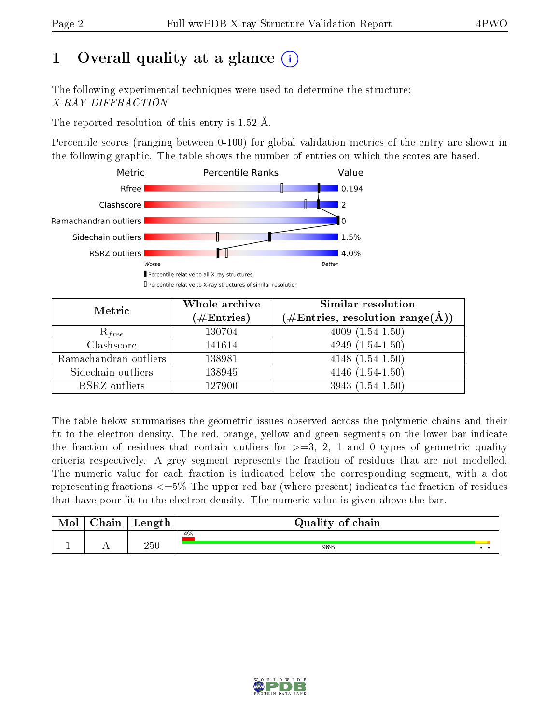# 1 [O](https://www.wwpdb.org/validation/2017/XrayValidationReportHelp#overall_quality)verall quality at a glance  $(i)$

The following experimental techniques were used to determine the structure: X-RAY DIFFRACTION

The reported resolution of this entry is 1.52 Å.

Percentile scores (ranging between 0-100) for global validation metrics of the entry are shown in the following graphic. The table shows the number of entries on which the scores are based.



| Metric                | Whole archive<br>$(\#\text{Entries})$ | Similar resolution<br>$(\#\text{Entries},\, \text{resolution}\; \text{range}(\textup{\AA}))$ |
|-----------------------|---------------------------------------|----------------------------------------------------------------------------------------------|
| $R_{free}$            | 130704                                | $4009(1.54-1.50)$                                                                            |
| Clashscore            | 141614                                | $4249(1.54-1.50)$                                                                            |
| Ramachandran outliers | 138981                                | $4148(1.54-1.50)$                                                                            |
| Sidechain outliers    | 138945                                | $4146(1.54-1.50)$                                                                            |
| RSRZ outliers         | 127900                                | $3943(1.54-1.50)$                                                                            |

The table below summarises the geometric issues observed across the polymeric chains and their fit to the electron density. The red, orange, yellow and green segments on the lower bar indicate the fraction of residues that contain outliers for  $>=3, 2, 1$  and 0 types of geometric quality criteria respectively. A grey segment represents the fraction of residues that are not modelled. The numeric value for each fraction is indicated below the corresponding segment, with a dot representing fractions  $\epsilon=5\%$  The upper red bar (where present) indicates the fraction of residues that have poor fit to the electron density. The numeric value is given above the bar.

| Mol | $\sim$ 1<br>hain | Length | Quality of chain |  |
|-----|------------------|--------|------------------|--|
|     |                  |        | 4%               |  |
| -   | . .              | 250    | 96%              |  |

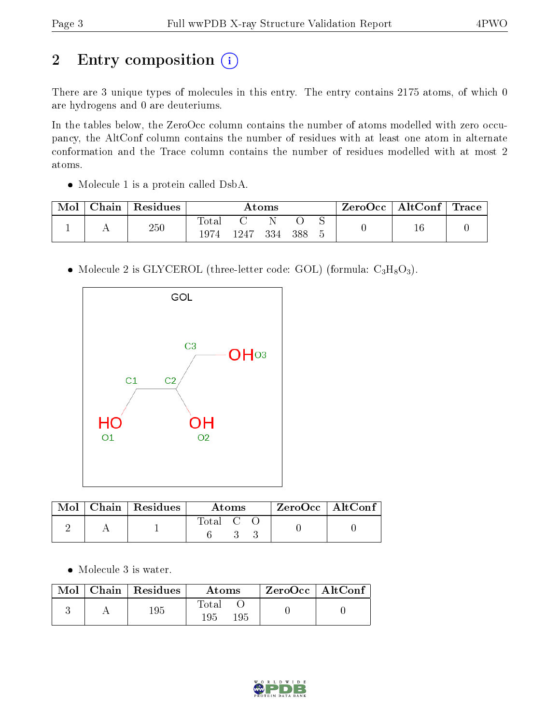# 2 Entry composition (i)

There are 3 unique types of molecules in this entry. The entry contains 2175 atoms, of which 0 are hydrogens and 0 are deuteriums.

In the tables below, the ZeroOcc column contains the number of atoms modelled with zero occupancy, the AltConf column contains the number of residues with at least one atom in alternate conformation and the Trace column contains the number of residues modelled with at most 2 atoms.

• Molecule 1 is a protein called DsbA.

|  | ${\rm Chain}$ | $\,^{\shortmid}$ Residues | Atoms        |     |     |  | $\mid$ ZeroOcc $\mid$ AltConf $\mid$ Trace |  |  |
|--|---------------|---------------------------|--------------|-----|-----|--|--------------------------------------------|--|--|
|  |               | 250                       | <b>Total</b> |     |     |  |                                            |  |  |
|  |               |                           | 1247         | 334 | 388 |  |                                            |  |  |

• Molecule 2 is GLYCEROL (three-letter code: GOL) (formula:  $C_3H_8O_3$ ).



|  | $Mol$   Chain   Residues | Atoms                                                    |  |  | $ZeroOcc$   AltConf |  |
|--|--------------------------|----------------------------------------------------------|--|--|---------------------|--|
|  |                          | $\begin{array}{ccc} \text{Total} & \text{C} \end{array}$ |  |  |                     |  |

• Molecule 3 is water.

|  | $\blacksquare$ Mol $\blacksquare$ Chain $\blacksquare$ Residues | Atoms                | $\mid$ ZeroOcc $\mid$ AltConf $\mid$ |  |
|--|-----------------------------------------------------------------|----------------------|--------------------------------------|--|
|  | 195                                                             | Total<br>195<br>195. |                                      |  |

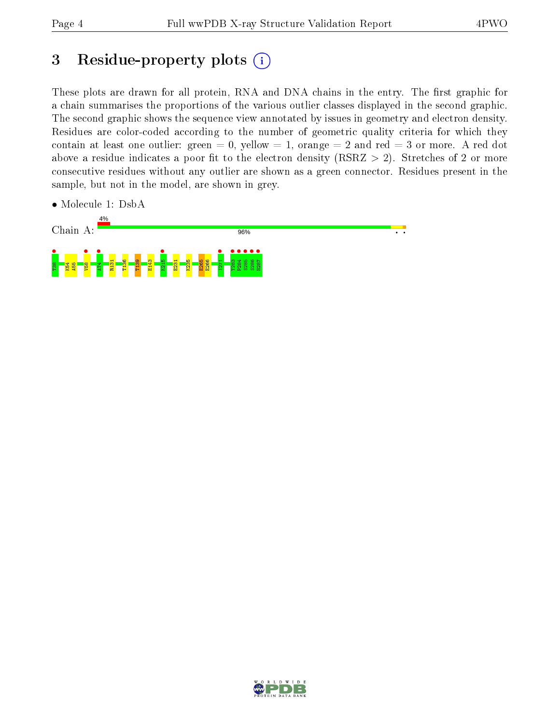## 3 Residue-property plots  $(i)$

These plots are drawn for all protein, RNA and DNA chains in the entry. The first graphic for a chain summarises the proportions of the various outlier classes displayed in the second graphic. The second graphic shows the sequence view annotated by issues in geometry and electron density. Residues are color-coded according to the number of geometric quality criteria for which they contain at least one outlier: green  $= 0$ , yellow  $= 1$ , orange  $= 2$  and red  $= 3$  or more. A red dot above a residue indicates a poor fit to the electron density (RSRZ  $> 2$ ). Stretches of 2 or more consecutive residues without any outlier are shown as a green connector. Residues present in the sample, but not in the model, are shown in grey.

• Molecule 1: DsbA



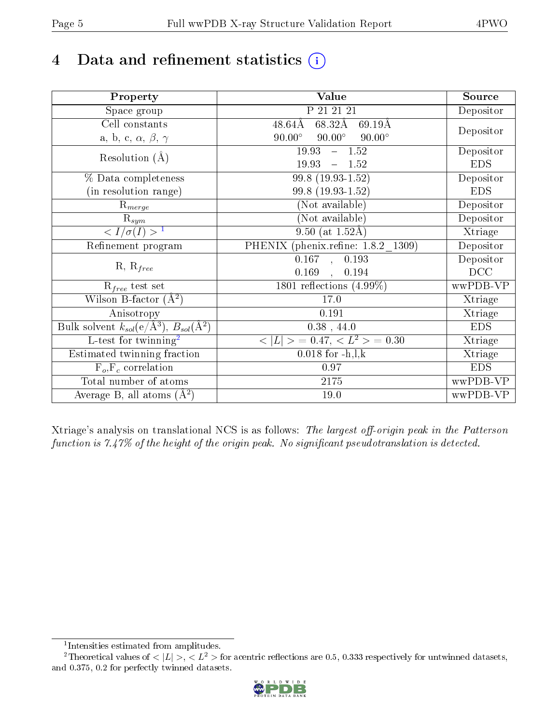# 4 Data and refinement statistics  $(i)$

| Property                                                             | Value                                           | Source     |
|----------------------------------------------------------------------|-------------------------------------------------|------------|
| Space group                                                          | P 21 21 21                                      | Depositor  |
| Cell constants                                                       | $48.64\text{\AA}$<br>68.32Å<br>69.19Å           |            |
| a, b, c, $\alpha$ , $\beta$ , $\gamma$                               | $90.00^\circ$<br>$90.00^\circ$<br>$90.00^\circ$ | Depositor  |
| Resolution $(A)$                                                     | $-1.52$<br>19.93                                | Depositor  |
|                                                                      | 19.93<br>$-1.52$                                | <b>EDS</b> |
| % Data completeness                                                  | 99.8 (19.93-1.52)                               | Depositor  |
| (in resolution range)                                                | 99.8 (19.93-1.52)                               | <b>EDS</b> |
| $R_{merge}$                                                          | (Not available)                                 | Depositor  |
| $\mathrm{R}_{sym}$                                                   | (Not available)                                 | Depositor  |
| $\langle I/\sigma(I) \rangle$ <sup>1</sup>                           | $\overline{9.50}$ (at 1.52Å)                    | Xtriage    |
| Refinement program                                                   | PHENIX (phenix.refine: 1.8.2 1309)              | Depositor  |
|                                                                      | $\overline{0.167}$ ,<br>0.193                   | Depositor  |
| $R, R_{free}$                                                        | 0.169<br>0.194<br>$\mathcal{L}$                 | DCC        |
| $\mathcal{R}_{free}$ test set                                        | 1801 reflections $(4.99\%)$                     | wwPDB-VP   |
| Wilson B-factor $(A^2)$                                              | 17.0                                            | Xtriage    |
| Anisotropy                                                           | 0.191                                           | Xtriage    |
| Bulk solvent $k_{sol}(e/\mathring{A}^3)$ , $B_{sol}(\mathring{A}^2)$ | $0.38$ , 44.0                                   | <b>EDS</b> |
| L-test for twinning <sup>2</sup>                                     | $< L >$ = 0.47, $< L2 >$ = 0.30                 | Xtriage    |
| Estimated twinning fraction                                          | $0.018$ for $-h, l, k$                          | Xtriage    |
| $F_o, F_c$ correlation                                               | 0.97                                            | <b>EDS</b> |
| Total number of atoms                                                | $2175\,$                                        | wwPDB-VP   |
| Average B, all atoms $(A^2)$                                         | 19.0                                            | wwPDB-VP   |

Xtriage's analysis on translational NCS is as follows: The largest off-origin peak in the Patterson function is  $7.47\%$  of the height of the origin peak. No significant pseudotranslation is detected.

<sup>&</sup>lt;sup>2</sup>Theoretical values of  $\langle |L| \rangle$ ,  $\langle L^2 \rangle$  for acentric reflections are 0.5, 0.333 respectively for untwinned datasets, and 0.375, 0.2 for perfectly twinned datasets.



<span id="page-4-1"></span><span id="page-4-0"></span><sup>1</sup> Intensities estimated from amplitudes.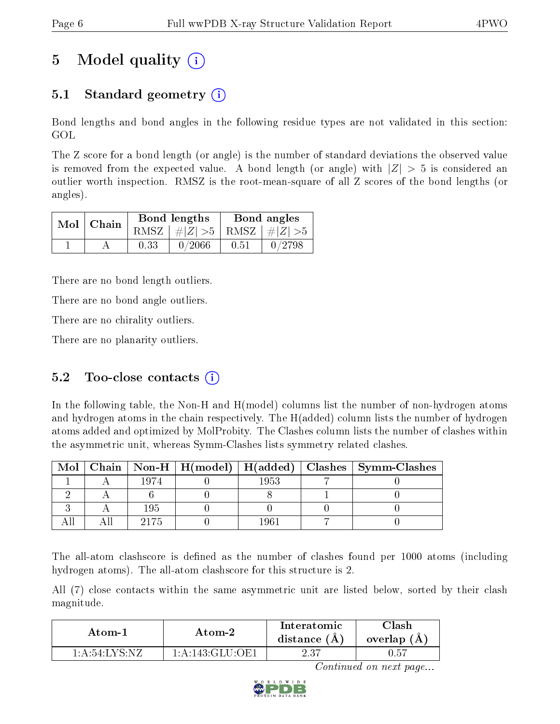# 5 Model quality  $(i)$

### 5.1 Standard geometry (i)

Bond lengths and bond angles in the following residue types are not validated in this section: GOL

The Z score for a bond length (or angle) is the number of standard deviations the observed value is removed from the expected value. A bond length (or angle) with  $|Z| > 5$  is considered an outlier worth inspection. RMSZ is the root-mean-square of all Z scores of the bond lengths (or angles).

|  | $Mol$   Chain |      | Bond lengths                    | Bond angles |        |  |
|--|---------------|------|---------------------------------|-------------|--------|--|
|  |               |      | RMSZ $ #Z  > 5$ RMSZ $ #Z  > 5$ |             |        |  |
|  |               | 0.33 | 0/2066                          | 0.51        | 0/2798 |  |

There are no bond length outliers.

There are no bond angle outliers.

There are no chirality outliers.

There are no planarity outliers.

#### 5.2 Too-close contacts  $(i)$

In the following table, the Non-H and H(model) columns list the number of non-hydrogen atoms and hydrogen atoms in the chain respectively. The H(added) column lists the number of hydrogen atoms added and optimized by MolProbity. The Clashes column lists the number of clashes within the asymmetric unit, whereas Symm-Clashes lists symmetry related clashes.

| Mol |      |      | $\mid$ Chain $\mid$ Non-H $\mid$ H(model) $\mid$ H(added) $\mid$ Clashes $\mid$ Symm-Clashes |
|-----|------|------|----------------------------------------------------------------------------------------------|
|     | 1974 | 1953 |                                                                                              |
|     |      |      |                                                                                              |
|     | 195  |      |                                                                                              |
|     |      |      |                                                                                              |

The all-atom clashscore is defined as the number of clashes found per 1000 atoms (including hydrogen atoms). The all-atom clashscore for this structure is 2.

All (7) close contacts within the same asymmetric unit are listed below, sorted by their clash magnitude.

| Atom-1           | Atom-2            | Interatomic<br>distance $(A)$ | Clash<br>overlap $(A)$ |
|------------------|-------------------|-------------------------------|------------------------|
| $1:$ A:54:LYS:NZ | 1: A:143: GLU:OF1 | 2.37                          | J.57                   |

Continued on next page...

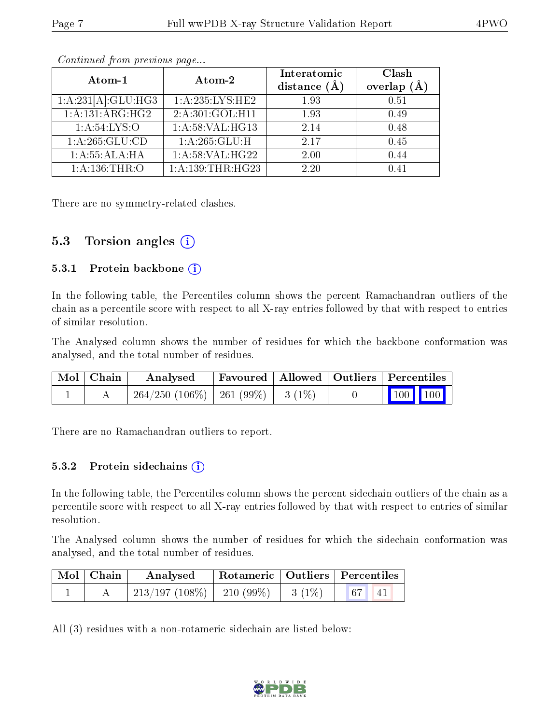| Atom-1                     | Atom-2                       | Interatomic<br>distance $(\AA)$ | Clash<br>overlap $(A)$ |
|----------------------------|------------------------------|---------------------------------|------------------------|
| $1:A:231[A]:GLU:HG3$       | 1:A:235:LYS:HE2              | 1.93                            | 0.51                   |
| 1:A:131:ARG:HG2            | 2:A:301:GOL:H11              | 1.93                            | 0.49                   |
| 1: A:54:LYS:O              | 1:A:58:VAL:HG13              | 2.14                            | 0.48                   |
| 1:A:265:GLU:CD             | 1: A:265: GLU: H             | 2.17                            | 0.45                   |
| $1:A:55:\overline{ALA:HA}$ | $1:\overline{A:58:VAL:HG22}$ | 2.00                            | 0.44                   |
| 1: A:136:THR:O             | 1:A:139:THR:HG23             | 2.20                            | 0.41                   |

Continued from previous page...

There are no symmetry-related clashes.

#### 5.3 Torsion angles  $(i)$

#### 5.3.1 Protein backbone  $(i)$

In the following table, the Percentiles column shows the percent Ramachandran outliers of the chain as a percentile score with respect to all X-ray entries followed by that with respect to entries of similar resolution.

The Analysed column shows the number of residues for which the backbone conformation was analysed, and the total number of residues.

| $\mid$ Mol $\mid$ Chain $\mid$ | Analysed                                           | Favoured   Allowed   Outliers   Percentiles |  |  |                         |
|--------------------------------|----------------------------------------------------|---------------------------------------------|--|--|-------------------------|
|                                | $\frac{1}{264}/250$ (106\%)   261 (99\%)   3 (1\%) |                                             |  |  | $\vert$ 100 100 $\vert$ |

There are no Ramachandran outliers to report.

#### 5.3.2 Protein sidechains  $(i)$

In the following table, the Percentiles column shows the percent sidechain outliers of the chain as a percentile score with respect to all X-ray entries followed by that with respect to entries of similar resolution.

The Analysed column shows the number of residues for which the sidechain conformation was analysed, and the total number of residues.

| Mol Chain | Analysed                   |                   | Rotameric   Outliers   Percentiles |  |  |
|-----------|----------------------------|-------------------|------------------------------------|--|--|
|           | 213/197 (108%)   210 (99%) | $-1$ 3 (1%) $+$ . | 67 41                              |  |  |

All (3) residues with a non-rotameric sidechain are listed below:

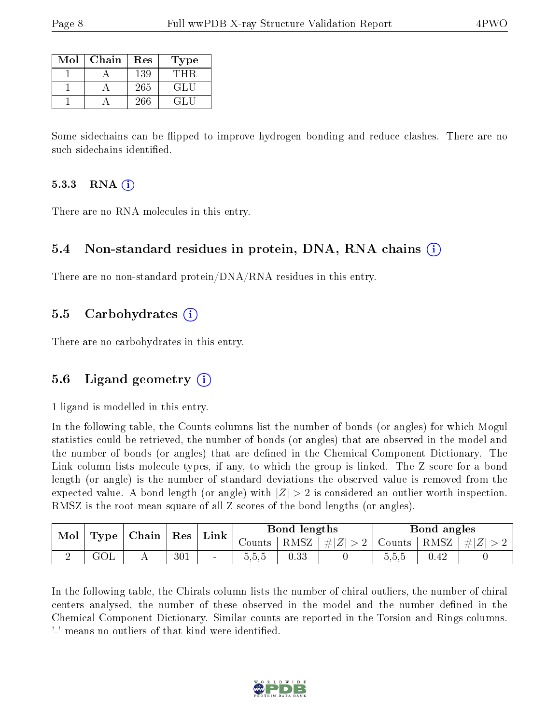| Mol | Chain | Res | Type   |
|-----|-------|-----|--------|
|     |       | 139 | THR    |
|     |       | 265 | GLU    |
|     |       | 266 | 74 L.T |

Some sidechains can be flipped to improve hydrogen bonding and reduce clashes. There are no such sidechains identified.

#### 5.3.3 RNA  $(i)$

There are no RNA molecules in this entry.

#### 5.4 Non-standard residues in protein, DNA, RNA chains  $(i)$

There are no non-standard protein/DNA/RNA residues in this entry.

#### 5.5 Carbohydrates  $(i)$

There are no carbohydrates in this entry.

#### 5.6 Ligand geometry (i)

1 ligand is modelled in this entry.

In the following table, the Counts columns list the number of bonds (or angles) for which Mogul statistics could be retrieved, the number of bonds (or angles) that are observed in the model and the number of bonds (or angles) that are defined in the Chemical Component Dictionary. The Link column lists molecule types, if any, to which the group is linked. The Z score for a bond length (or angle) is the number of standard deviations the observed value is removed from the expected value. A bond length (or angle) with  $|Z| > 2$  is considered an outlier worth inspection. RMSZ is the root-mean-square of all Z scores of the bond lengths (or angles).

| Mol<br>Type |  | Chain |     |                          |        |          |                      |        |          |           |  |  |  | $^+$ Res | Link |  | Bond lengths |  |  | Bond angles |  |
|-------------|--|-------|-----|--------------------------|--------|----------|----------------------|--------|----------|-----------|--|--|--|----------|------|--|--------------|--|--|-------------|--|
|             |  |       |     |                          | Counts | $RMSZ +$ | $\# Z $<br>$>2^{-1}$ | Counts | RMSZ     | $\pm  Z $ |  |  |  |          |      |  |              |  |  |             |  |
|             |  |       | 301 | $\overline{\phantom{a}}$ | U.U.U  | $0.33\,$ |                      | 0.5.5  | $0.42\,$ |           |  |  |  |          |      |  |              |  |  |             |  |

In the following table, the Chirals column lists the number of chiral outliers, the number of chiral centers analysed, the number of these observed in the model and the number defined in the Chemical Component Dictionary. Similar counts are reported in the Torsion and Rings columns. '-' means no outliers of that kind were identified.

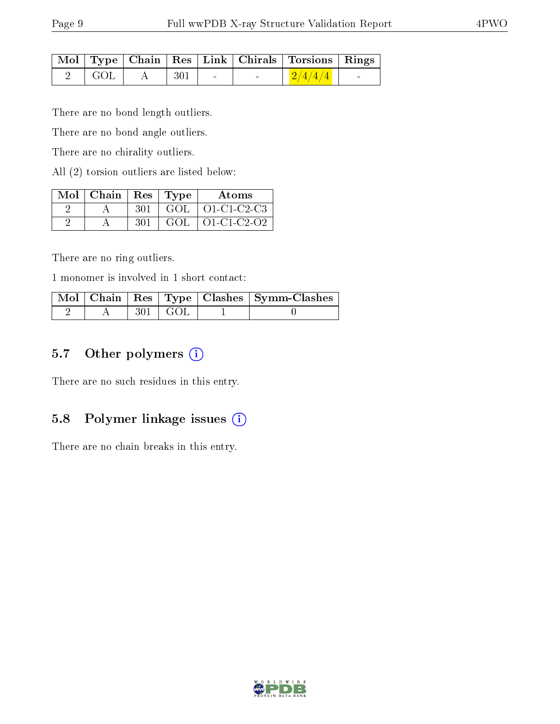|                              |              |                          | Mol   Type   Chain   Res   Link   Chirals   Torsions   Rings |  |
|------------------------------|--------------|--------------------------|--------------------------------------------------------------|--|
| $\overline{\phantom{a}}$ GOL | $A \mid 301$ | <b>Contract Contract</b> | $+2/4/4/4$                                                   |  |

There are no bond length outliers.

There are no bond angle outliers.

There are no chirality outliers.

All (2) torsion outliers are listed below:

| $Mol$   Chain   Res   Type |     | Atoms                           |
|----------------------------|-----|---------------------------------|
|                            | 301 | $\vert$ GOL $\vert$ O1-C1-C2-C3 |
|                            | 301 | $GOL$   O1-C1-C2-O2             |

There are no ring outliers.

1 monomer is involved in 1 short contact:

|  |            | Mol   Chain   Res   Type   Clashes   Symm-Clashes |
|--|------------|---------------------------------------------------|
|  | -301 + GOL |                                                   |

### 5.7 [O](https://www.wwpdb.org/validation/2017/XrayValidationReportHelp#nonstandard_residues_and_ligands)ther polymers (i)

There are no such residues in this entry.

#### 5.8 Polymer linkage issues  $(i)$

There are no chain breaks in this entry.

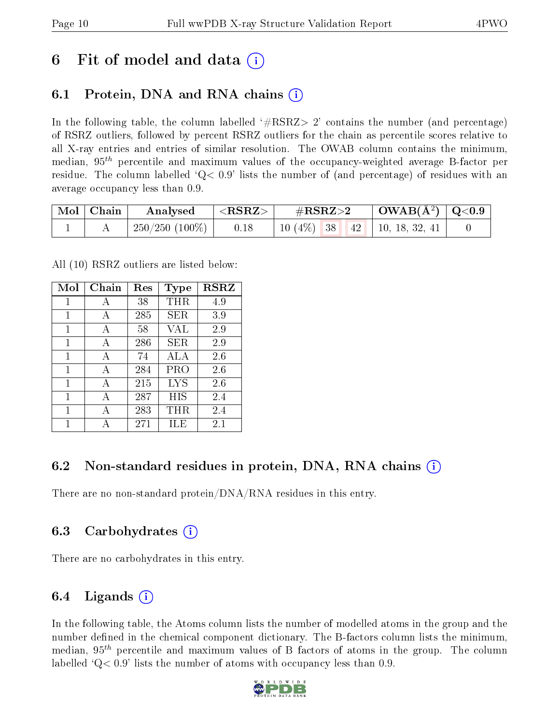## 6 Fit of model and data  $\left( \cdot \right)$

### 6.1 Protein, DNA and RNA chains (i)

In the following table, the column labelled  $#RSRZ>2'$  contains the number (and percentage) of RSRZ outliers, followed by percent RSRZ outliers for the chain as percentile scores relative to all X-ray entries and entries of similar resolution. The OWAB column contains the minimum, median,  $95<sup>th</sup>$  percentile and maximum values of the occupancy-weighted average B-factor per residue. The column labelled  $Q< 0.9$  lists the number of (and percentage) of residues with an average occupancy less than 0.9.

| $\vert$ Mol $\vert$ Chain $\vert$ | Analysed                     | $  <$ RSRZ $>$ $ $ | $\rm \#RSRZ{>}2$ |  | $\vert$ OWAB( $\rm{\AA}^{2}$ ) $\vert$ Q<0.9 $\vert$ |  |
|-----------------------------------|------------------------------|--------------------|------------------|--|------------------------------------------------------|--|
|                                   | $\mid$ 250/250 (100%) $\mid$ | 0.18               |                  |  | 10 (4\%)   38   42   10, 18, 32, 41                  |  |

All (10) RSRZ outliers are listed below:

| Mol          | Chain | Res | <b>Type</b> | <b>RSRZ</b> |
|--------------|-------|-----|-------------|-------------|
| 1            | А     | 38  | <b>THR</b>  | 4.9         |
| $\mathbf{1}$ | A     | 285 | <b>SER</b>  | 3.9         |
| 1            | A     | 58  | VAL         | 2.9         |
| 1            | A     | 286 | SER         | 2.9         |
| 1            | A     | 74  | ALA         | 2.6         |
| 1            | A     | 284 | PRO         | 2.6         |
| 1            | A     | 215 | LYS         | 2.6         |
| 1            | A     | 287 | HIS         | 2.4         |
| 1            | А     | 283 | THR         | 2.4         |
| 1            |       | 271 | ШE          | $2.1\,$     |

### 6.2 Non-standard residues in protein, DNA, RNA chains (i)

There are no non-standard protein/DNA/RNA residues in this entry.

### 6.3 Carbohydrates (i)

There are no carbohydrates in this entry.

### 6.4 Ligands  $(i)$

In the following table, the Atoms column lists the number of modelled atoms in the group and the number defined in the chemical component dictionary. The B-factors column lists the minimum, median,  $95<sup>th</sup>$  percentile and maximum values of B factors of atoms in the group. The column labelled  $Q< 0.9$ ' lists the number of atoms with occupancy less than 0.9.